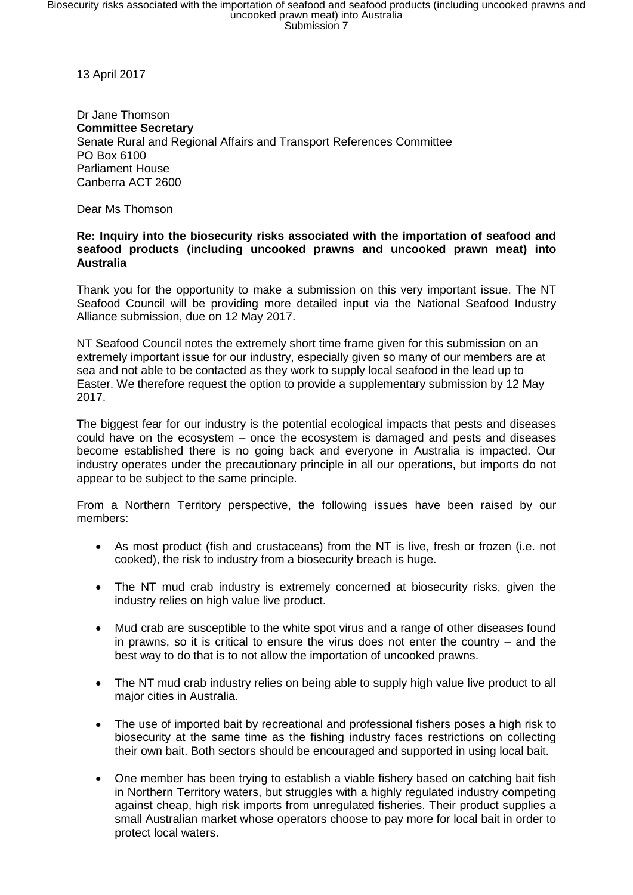13 April 2017

Dr Jane Thomson **Committee Secretary** Senate Rural and Regional Affairs and Transport References Committee PO Box 6100 Parliament House Canberra ACT 2600

Dear Ms Thomson

## **Re: Inquiry into the biosecurity risks associated with the importation of seafood and seafood products (including uncooked prawns and uncooked prawn meat) into Australia**

Thank you for the opportunity to make a submission on this very important issue. The NT Seafood Council will be providing more detailed input via the National Seafood Industry Alliance submission, due on 12 May 2017.

NT Seafood Council notes the extremely short time frame given for this submission on an extremely important issue for our industry, especially given so many of our members are at sea and not able to be contacted as they work to supply local seafood in the lead up to Easter. We therefore request the option to provide a supplementary submission by 12 May 2017.

The biggest fear for our industry is the potential ecological impacts that pests and diseases could have on the ecosystem – once the ecosystem is damaged and pests and diseases become established there is no going back and everyone in Australia is impacted. Our industry operates under the precautionary principle in all our operations, but imports do not appear to be subject to the same principle.

From a Northern Territory perspective, the following issues have been raised by our members:

- As most product (fish and crustaceans) from the NT is live, fresh or frozen (i.e. not cooked), the risk to industry from a biosecurity breach is huge.
- The NT mud crab industry is extremely concerned at biosecurity risks, given the industry relies on high value live product.
- Mud crab are susceptible to the white spot virus and a range of other diseases found in prawns, so it is critical to ensure the virus does not enter the country – and the best way to do that is to not allow the importation of uncooked prawns.
- The NT mud crab industry relies on being able to supply high value live product to all major cities in Australia.
- The use of imported bait by recreational and professional fishers poses a high risk to biosecurity at the same time as the fishing industry faces restrictions on collecting their own bait. Both sectors should be encouraged and supported in using local bait.
- One member has been trying to establish a viable fishery based on catching bait fish in Northern Territory waters, but struggles with a highly regulated industry competing against cheap, high risk imports from unregulated fisheries. Their product supplies a small Australian market whose operators choose to pay more for local bait in order to protect local waters.